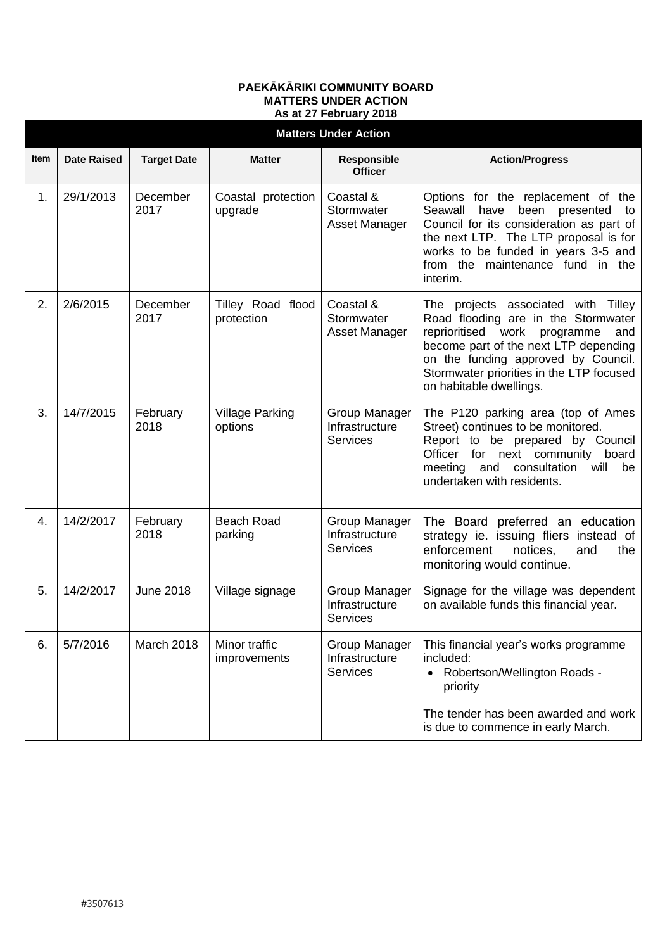## **PAEKĀKĀRIKI COMMUNITY BOARD MATTERS UNDER ACTION As at 27 February 2018**

| <b>Matters Under Action</b> |                    |                    |                                   |                                                    |                                                                                                                                                                                                                                                                                |  |  |  |  |
|-----------------------------|--------------------|--------------------|-----------------------------------|----------------------------------------------------|--------------------------------------------------------------------------------------------------------------------------------------------------------------------------------------------------------------------------------------------------------------------------------|--|--|--|--|
| Item                        | <b>Date Raised</b> | <b>Target Date</b> | <b>Matter</b>                     | Responsible<br><b>Officer</b>                      | <b>Action/Progress</b>                                                                                                                                                                                                                                                         |  |  |  |  |
| 1.                          | 29/1/2013          | December<br>2017   | Coastal protection<br>upgrade     | Coastal &<br>Stormwater<br>Asset Manager           | Options for the replacement of the<br>Seawall<br>have<br>been presented<br>to<br>Council for its consideration as part of<br>the next LTP. The LTP proposal is for<br>works to be funded in years 3-5 and<br>from the maintenance fund in the<br>interim.                      |  |  |  |  |
| 2.                          | 2/6/2015           | December<br>2017   | Tilley Road flood<br>protection   | Coastal &<br>Stormwater<br>Asset Manager           | The projects associated with Tilley<br>Road flooding are in the Stormwater<br>reprioritised<br>work<br>programme<br>and<br>become part of the next LTP depending<br>on the funding approved by Council.<br>Stormwater priorities in the LTP focused<br>on habitable dwellings. |  |  |  |  |
| 3.                          | 14/7/2015          | February<br>2018   | <b>Village Parking</b><br>options | Group Manager<br>Infrastructure<br><b>Services</b> | The P120 parking area (top of Ames<br>Street) continues to be monitored.<br>Report to be prepared by Council<br>Officer for next community<br>board<br>meeting<br>and consultation<br>will<br>be<br>undertaken with residents.                                                 |  |  |  |  |
| 4.                          | 14/2/2017          | February<br>2018   | <b>Beach Road</b><br>parking      | Group Manager<br>Infrastructure<br><b>Services</b> | The Board preferred an education<br>strategy ie. issuing fliers instead of<br>enforcement<br>notices,<br>the<br>and<br>monitoring would continue.                                                                                                                              |  |  |  |  |
| 5.                          | 14/2/2017          | <b>June 2018</b>   | Village signage                   | Group Manager<br>Infrastructure<br><b>Services</b> | Signage for the village was dependent<br>on available funds this financial year.                                                                                                                                                                                               |  |  |  |  |
| 6.                          | 5/7/2016           | March 2018         | Minor traffic<br>improvements     | Group Manager<br>Infrastructure<br><b>Services</b> | This financial year's works programme<br>included:<br>Robertson/Wellington Roads -<br>priority<br>The tender has been awarded and work<br>is due to commence in early March.                                                                                                   |  |  |  |  |